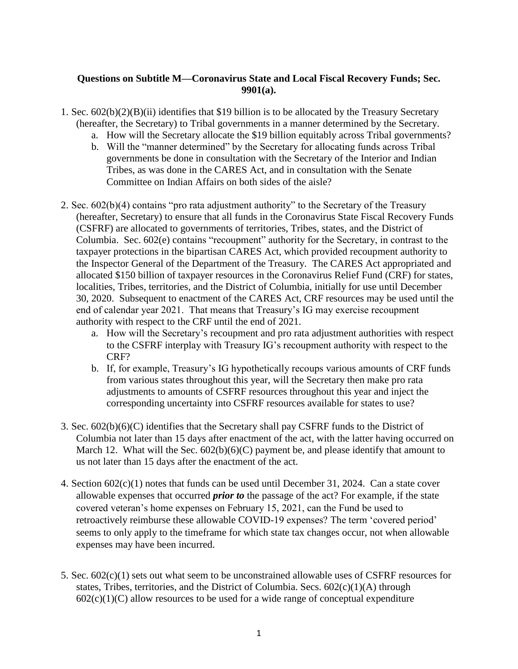## **Questions on Subtitle M—Coronavirus State and Local Fiscal Recovery Funds; Sec. 9901(a).**

- 1. Sec. 602(b)(2)(B)(ii) identifies that \$19 billion is to be allocated by the Treasury Secretary (hereafter, the Secretary) to Tribal governments in a manner determined by the Secretary.
	- a. How will the Secretary allocate the \$19 billion equitably across Tribal governments?
	- b. Will the "manner determined" by the Secretary for allocating funds across Tribal governments be done in consultation with the Secretary of the Interior and Indian Tribes, as was done in the CARES Act, and in consultation with the Senate Committee on Indian Affairs on both sides of the aisle?
- 2. Sec. 602(b)(4) contains "pro rata adjustment authority" to the Secretary of the Treasury (hereafter, Secretary) to ensure that all funds in the Coronavirus State Fiscal Recovery Funds (CSFRF) are allocated to governments of territories, Tribes, states, and the District of Columbia. Sec. 602(e) contains "recoupment" authority for the Secretary, in contrast to the taxpayer protections in the bipartisan CARES Act, which provided recoupment authority to the Inspector General of the Department of the Treasury. The CARES Act appropriated and allocated \$150 billion of taxpayer resources in the Coronavirus Relief Fund (CRF) for states, localities, Tribes, territories, and the District of Columbia, initially for use until December 30, 2020. Subsequent to enactment of the CARES Act, CRF resources may be used until the end of calendar year 2021. That means that Treasury's IG may exercise recoupment authority with respect to the CRF until the end of 2021.
	- a. How will the Secretary's recoupment and pro rata adjustment authorities with respect to the CSFRF interplay with Treasury IG's recoupment authority with respect to the CRF?
	- b. If, for example, Treasury's IG hypothetically recoups various amounts of CRF funds from various states throughout this year, will the Secretary then make pro rata adjustments to amounts of CSFRF resources throughout this year and inject the corresponding uncertainty into CSFRF resources available for states to use?
- 3. Sec. 602(b)(6)(C) identifies that the Secretary shall pay CSFRF funds to the District of Columbia not later than 15 days after enactment of the act, with the latter having occurred on March 12. What will the Sec.  $602(b)(6)(C)$  payment be, and please identify that amount to us not later than 15 days after the enactment of the act.
- 4. Section 602(c)(1) notes that funds can be used until December 31, 2024. Can a state cover allowable expenses that occurred *prior to* the passage of the act? For example, if the state covered veteran's home expenses on February 15, 2021, can the Fund be used to retroactively reimburse these allowable COVID-19 expenses? The term 'covered period' seems to only apply to the timeframe for which state tax changes occur, not when allowable expenses may have been incurred.
- 5. Sec. 602(c)(1) sets out what seem to be unconstrained allowable uses of CSFRF resources for states, Tribes, territories, and the District of Columbia. Secs.  $602(c)(1)(A)$  through  $602(c)(1)(C)$  allow resources to be used for a wide range of conceptual expenditure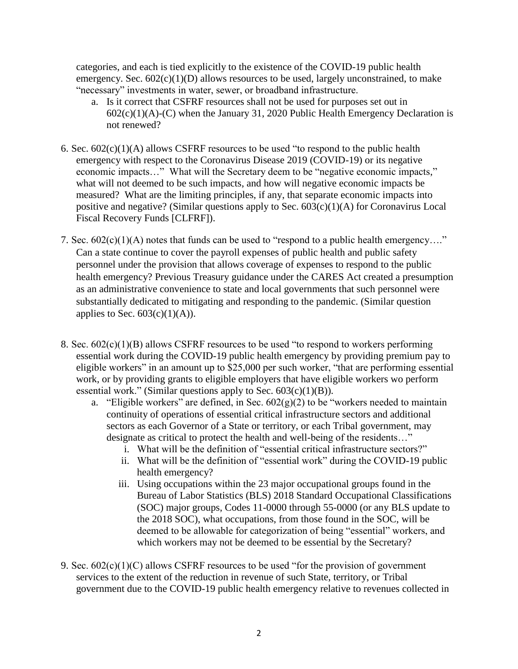categories, and each is tied explicitly to the existence of the COVID-19 public health emergency. Sec.  $602(c)(1)(D)$  allows resources to be used, largely unconstrained, to make "necessary" investments in water, sewer, or broadband infrastructure.

- a. Is it correct that CSFRF resources shall not be used for purposes set out in  $602(c)(1)(A)-(C)$  when the January 31, 2020 Public Health Emergency Declaration is not renewed?
- 6. Sec.  $602(c)(1)(A)$  allows CSFRF resources to be used "to respond to the public health emergency with respect to the Coronavirus Disease 2019 (COVID-19) or its negative economic impacts…" What will the Secretary deem to be "negative economic impacts," what will not deemed to be such impacts, and how will negative economic impacts be measured? What are the limiting principles, if any, that separate economic impacts into positive and negative? (Similar questions apply to Sec. 603(c)(1)(A) for Coronavirus Local Fiscal Recovery Funds [CLFRF]).
- 7. Sec. 602(c)(1)(A) notes that funds can be used to "respond to a public health emergency…." Can a state continue to cover the payroll expenses of public health and public safety personnel under the provision that allows coverage of expenses to respond to the public health emergency? Previous Treasury guidance under the CARES Act created a presumption as an administrative convenience to state and local governments that such personnel were substantially dedicated to mitigating and responding to the pandemic. (Similar question applies to Sec.  $603(c)(1)(A)$ ).
- 8. Sec. 602(c)(1)(B) allows CSFRF resources to be used "to respond to workers performing essential work during the COVID-19 public health emergency by providing premium pay to eligible workers" in an amount up to \$25,000 per such worker, "that are performing essential work, or by providing grants to eligible employers that have eligible workers wo perform essential work." (Similar questions apply to Sec.  $603(c)(1)(B)$ ).
	- a. "Eligible workers" are defined, in Sec.  $602(g)(2)$  to be "workers needed to maintain continuity of operations of essential critical infrastructure sectors and additional sectors as each Governor of a State or territory, or each Tribal government, may designate as critical to protect the health and well-being of the residents…"
		- i. What will be the definition of "essential critical infrastructure sectors?"
		- ii. What will be the definition of "essential work" during the COVID-19 public health emergency?
		- iii. Using occupations within the 23 major occupational groups found in the Bureau of Labor Statistics (BLS) 2018 Standard Occupational Classifications (SOC) major groups, Codes 11-0000 through 55-0000 (or any BLS update to the 2018 SOC), what occupations, from those found in the SOC, will be deemed to be allowable for categorization of being "essential" workers, and which workers may not be deemed to be essential by the Secretary?
- 9. Sec.  $602(c)(1)(C)$  allows CSFRF resources to be used "for the provision of government" services to the extent of the reduction in revenue of such State, territory, or Tribal government due to the COVID-19 public health emergency relative to revenues collected in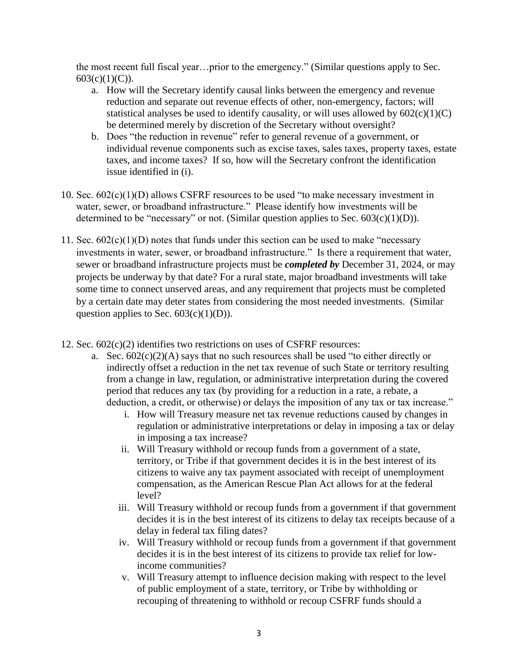the most recent full fiscal year…prior to the emergency." (Similar questions apply to Sec.  $603(c)(1)(C)$ ).

- a. How will the Secretary identify causal links between the emergency and revenue reduction and separate out revenue effects of other, non-emergency, factors; will statistical analyses be used to identify causality, or will uses allowed by  $602(c)(1)(C)$ be determined merely by discretion of the Secretary without oversight?
- b. Does "the reduction in revenue" refer to general revenue of a government, or individual revenue components such as excise taxes, sales taxes, property taxes, estate taxes, and income taxes? If so, how will the Secretary confront the identification issue identified in (i).
- 10. Sec.  $602(c)(1)(D)$  allows CSFRF resources to be used "to make necessary investment in water, sewer, or broadband infrastructure." Please identify how investments will be determined to be "necessary" or not. (Similar question applies to Sec.  $603(c)(1)(D)$ ).
- 11. Sec.  $602(c)(1)(D)$  notes that funds under this section can be used to make "necessary investments in water, sewer, or broadband infrastructure." Is there a requirement that water, sewer or broadband infrastructure projects must be *completed by* December 31, 2024, or may projects be underway by that date? For a rural state, major broadband investments will take some time to connect unserved areas, and any requirement that projects must be completed by a certain date may deter states from considering the most needed investments. (Similar question applies to Sec.  $603(c)(1)(D)$ ).
- 12. Sec.  $602(c)(2)$  identifies two restrictions on uses of CSFRF resources:
	- a. Sec.  $602(c)(2)(A)$  says that no such resources shall be used "to either directly or indirectly offset a reduction in the net tax revenue of such State or territory resulting from a change in law, regulation, or administrative interpretation during the covered period that reduces any tax (by providing for a reduction in a rate, a rebate, a deduction, a credit, or otherwise) or delays the imposition of any tax or tax increase."
		- i. How will Treasury measure net tax revenue reductions caused by changes in regulation or administrative interpretations or delay in imposing a tax or delay in imposing a tax increase?
		- ii. Will Treasury withhold or recoup funds from a government of a state, territory, or Tribe if that government decides it is in the best interest of its citizens to waive any tax payment associated with receipt of unemployment compensation, as the American Rescue Plan Act allows for at the federal level?
		- iii. Will Treasury withhold or recoup funds from a government if that government decides it is in the best interest of its citizens to delay tax receipts because of a delay in federal tax filing dates?
		- iv. Will Treasury withhold or recoup funds from a government if that government decides it is in the best interest of its citizens to provide tax relief for lowincome communities?
		- v. Will Treasury attempt to influence decision making with respect to the level of public employment of a state, territory, or Tribe by withholding or recouping of threatening to withhold or recoup CSFRF funds should a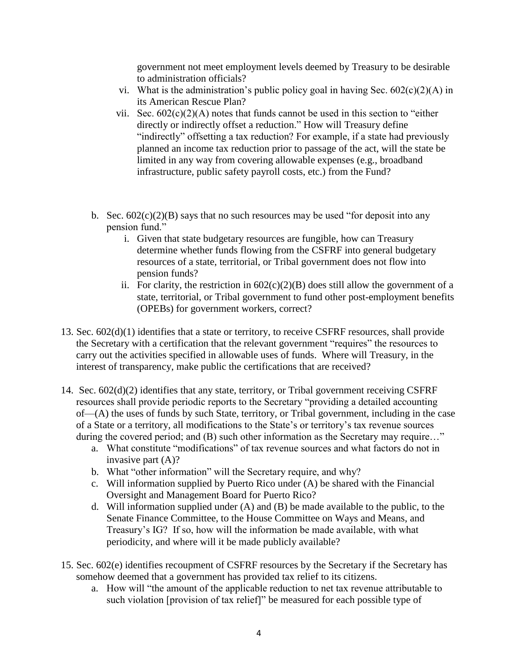government not meet employment levels deemed by Treasury to be desirable to administration officials?

- vi. What is the administration's public policy goal in having Sec.  $602(c)(2)(A)$  in its American Rescue Plan?
- vii. Sec.  $602(c)(2)(A)$  notes that funds cannot be used in this section to "either" directly or indirectly offset a reduction." How will Treasury define "indirectly" offsetting a tax reduction? For example, if a state had previously planned an income tax reduction prior to passage of the act, will the state be limited in any way from covering allowable expenses (e.g., broadband infrastructure, public safety payroll costs, etc.) from the Fund?
- b. Sec.  $602(c)(2)(B)$  says that no such resources may be used "for deposit into any pension fund."
	- i. Given that state budgetary resources are fungible, how can Treasury determine whether funds flowing from the CSFRF into general budgetary resources of a state, territorial, or Tribal government does not flow into pension funds?
	- ii. For clarity, the restriction in  $602(c)(2)(B)$  does still allow the government of a state, territorial, or Tribal government to fund other post-employment benefits (OPEBs) for government workers, correct?
- 13. Sec. 602(d)(1) identifies that a state or territory, to receive CSFRF resources, shall provide the Secretary with a certification that the relevant government "requires" the resources to carry out the activities specified in allowable uses of funds. Where will Treasury, in the interest of transparency, make public the certifications that are received?
- 14. Sec. 602(d)(2) identifies that any state, territory, or Tribal government receiving CSFRF resources shall provide periodic reports to the Secretary "providing a detailed accounting of—(A) the uses of funds by such State, territory, or Tribal government, including in the case of a State or a territory, all modifications to the State's or territory's tax revenue sources during the covered period; and (B) such other information as the Secretary may require..."
	- a. What constitute "modifications" of tax revenue sources and what factors do not in invasive part (A)?
	- b. What "other information" will the Secretary require, and why?
	- c. Will information supplied by Puerto Rico under (A) be shared with the Financial Oversight and Management Board for Puerto Rico?
	- d. Will information supplied under (A) and (B) be made available to the public, to the Senate Finance Committee, to the House Committee on Ways and Means, and Treasury's IG? If so, how will the information be made available, with what periodicity, and where will it be made publicly available?
- 15. Sec. 602(e) identifies recoupment of CSFRF resources by the Secretary if the Secretary has somehow deemed that a government has provided tax relief to its citizens.
	- a. How will "the amount of the applicable reduction to net tax revenue attributable to such violation [provision of tax relief]" be measured for each possible type of